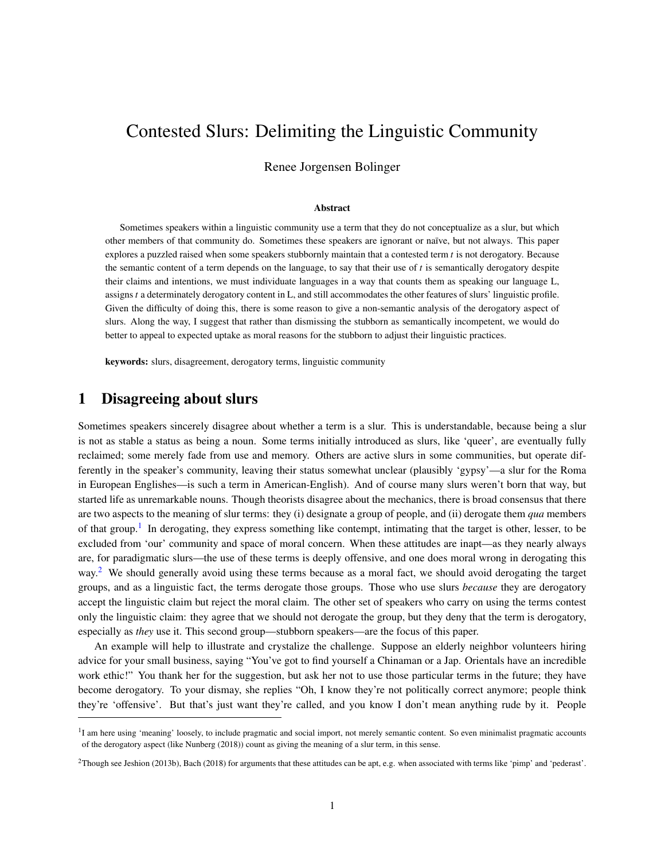# Contested Slurs: Delimiting the Linguistic Community

Renee Jorgensen Bolinger

#### Abstract

Sometimes speakers within a linguistic community use a term that they do not conceptualize as a slur, but which other members of that community do. Sometimes these speakers are ignorant or naïve, but not always. This paper explores a puzzled raised when some speakers stubbornly maintain that a contested term *t* is not derogatory. Because the semantic content of a term depends on the language, to say that their use of *t* is semantically derogatory despite their claims and intentions, we must individuate languages in a way that counts them as speaking our language L, assigns*t* a determinately derogatory content in L, and still accommodates the other features of slurs' linguistic profile. Given the difficulty of doing this, there is some reason to give a non-semantic analysis of the derogatory aspect of slurs. Along the way, I suggest that rather than dismissing the stubborn as semantically incompetent, we would do better to appeal to expected uptake as moral reasons for the stubborn to adjust their linguistic practices.

keywords: slurs, disagreement, derogatory terms, linguistic community

## 1 Disagreeing about slurs

Sometimes speakers sincerely disagree about whether a term is a slur. This is understandable, because being a slur is not as stable a status as being a noun. Some terms initially introduced as slurs, like 'queer', are eventually fully reclaimed; some merely fade from use and memory. Others are active slurs in some communities, but operate differently in the speaker's community, leaving their status somewhat unclear (plausibly 'gypsy'—a slur for the Roma in European Englishes—is such a term in American-English). And of course many slurs weren't born that way, but started life as unremarkable nouns. Though theorists disagree about the mechanics, there is broad consensus that there are two aspects to the meaning of slur terms: they (i) designate a group of people, and (ii) derogate them *qua* members of that group.<sup>1</sup> In derogating, they express something like contempt, intimating that the target is other, lesser, to be excluded from 'our' community and space of moral concern. When these attitudes are inapt—as they nearly always are, for paradigmatic slurs—the use of these terms is deeply offensive, and one does moral wrong in derogating this way.<sup>2</sup> We should generally avoid using these terms because as a moral fact, we should avoid derogating the target groups, and as a linguistic fact, the terms derogate those groups. Those who use slurs *because* they are derogatory accept the linguistic claim but reject the moral claim. The other set of speakers who carry on using the terms contest only the linguistic claim: they agree that we should not derogate the group, but they deny that the term is derogatory, especially as *they* use it. This second group—stubborn speakers—are the focus of this paper.

An example will help to illustrate and crystalize the challenge. Suppose an elderly neighbor volunteers hiring advice for your small business, saying "You've got to find yourself a Chinaman or a Jap. Orientals have an incredible work ethic!" You thank her for the suggestion, but ask her not to use those particular terms in the future; they have become derogatory. To your dismay, she replies "Oh, I know they're not politically correct anymore; people think they're 'offensive'. But that's just want they're called, and you know I don't mean anything rude by it. People

<sup>&</sup>lt;sup>1</sup>I am here using 'meaning' loosely, to include pragmatic and social import, not merely semantic content. So even minimalist pragmatic accounts of the derogatory aspect (like [Nunberg](#page-11-0) [\(2018](#page-11-0))) count as giving the meaning of a slur term, in this sense.

<sup>2</sup>Though see [Jeshion](#page-11-1) [\(2013b](#page-11-1)), [Bach](#page-10-0) ([2018\)](#page-10-0) for arguments that these attitudes can be apt, e.g. when associated with terms like 'pimp' and 'pederast'.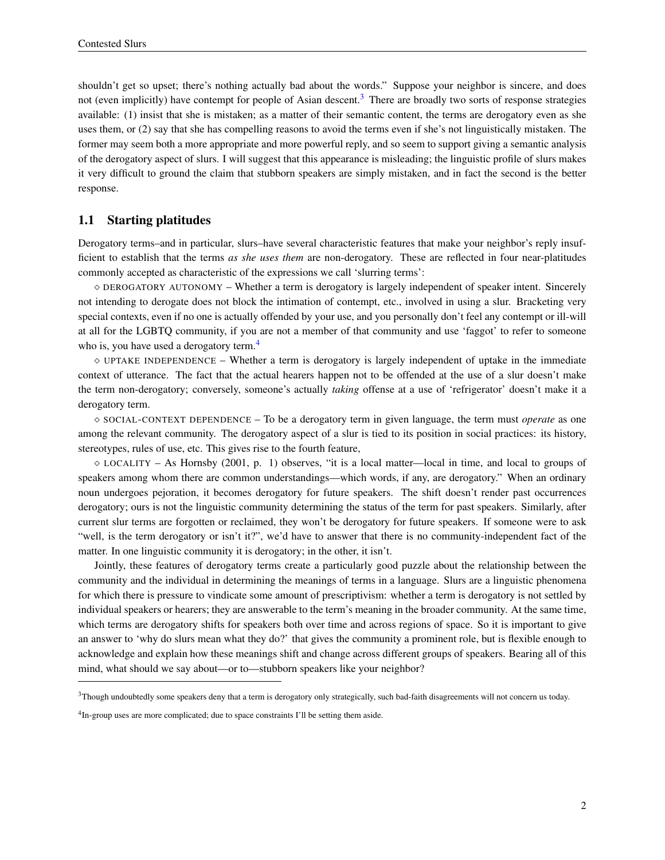shouldn't get so upset; there's nothing actually bad about the words." Suppose your neighbor is sincere, and does not (even implicitly) have contempt for people of Asian descent.<sup>3</sup> There are broadly two sorts of response strategies available: (1) insist that she is mistaken; as a matter of their semantic content, the terms are derogatory even as she uses them, or (2) say that she has compelling reasons to avoid the terms even if she's not linguistically mistaken. The former may seem both a more appropriate and more powerful reply, and so seem to support giving a semantic analysis of the derogatory aspect of slurs. I will suggest that this appearance is misleading; the linguistic profile of slurs makes it very difficult to ground the claim that stubborn speakers are simply mistaken, and in fact the second is the better response.

### 1.1 Starting platitudes

Derogatory terms–and in particular, slurs–have several characteristic features that make your neighbor's reply insufficient to establish that the terms *as she uses them* are non-derogatory. These are reflected in four near-platitudes commonly accepted as characteristic of the expressions we call 'slurring terms':

*⋄* DEROGATORY AUTONOMY – Whether a term is derogatory is largely independent of speaker intent. Sincerely not intending to derogate does not block the intimation of contempt, etc., involved in using a slur. Bracketing very special contexts, even if no one is actually offended by your use, and you personally don't feel any contempt or ill-will at all for the LGBTQ community, if you are not a member of that community and use 'faggot' to refer to someone who is, you have used a derogatory term.<sup>4</sup>

*⋄* UPTAKE INDEPENDENCE – Whether a term is derogatory is largely independent of uptake in the immediate context of utterance. The fact that the actual hearers happen not to be offended at the use of a slur doesn't make the term non-derogatory; conversely, someone's actually *taking* offense at a use of 'refrigerator' doesn't make it a derogatory term.

*⋄* SOCIAL-CONTEXT DEPENDENCE – To be a derogatory term in given language, the term must *operate* as one among the relevant community. The derogatory aspect of a slur is tied to its position in social practices: its history, stereotypes, rules of use, etc. This gives rise to the fourth feature,

*⋄* LOCALITY – As [Hornsby](#page-11-2) [\(2001](#page-11-2), p. 1) observes, "it is a local matter—local in time, and local to groups of speakers among whom there are common understandings—which words, if any, are derogatory." When an ordinary noun undergoes pejoration, it becomes derogatory for future speakers. The shift doesn't render past occurrences derogatory; ours is not the linguistic community determining the status of the term for past speakers. Similarly, after current slur terms are forgotten or reclaimed, they won't be derogatory for future speakers. If someone were to ask "well, is the term derogatory or isn't it?", we'd have to answer that there is no community-independent fact of the matter. In one linguistic community it is derogatory; in the other, it isn't.

Jointly, these features of derogatory terms create a particularly good puzzle about the relationship between the community and the individual in determining the meanings of terms in a language. Slurs are a linguistic phenomena for which there is pressure to vindicate some amount of prescriptivism: whether a term is derogatory is not settled by individual speakers or hearers; they are answerable to the term's meaning in the broader community. At the same time, which terms are derogatory shifts for speakers both over time and across regions of space. So it is important to give an answer to 'why do slurs mean what they do?' that gives the community a prominent role, but is flexible enough to acknowledge and explain how these meanings shift and change across different groups of speakers. Bearing all of this mind, what should we say about—or to—stubborn speakers like your neighbor?

<sup>&</sup>lt;sup>3</sup>Though undoubtedly some speakers deny that a term is derogatory only strategically, such bad-faith disagreements will not concern us today.

<sup>&</sup>lt;sup>4</sup>In-group uses are more complicated; due to space constraints I'll be setting them aside.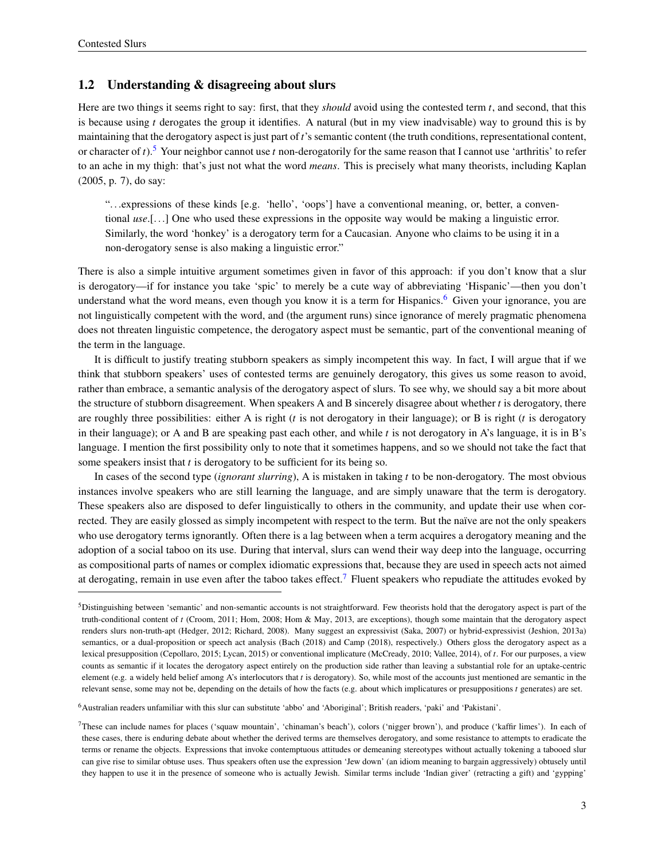#### 1.2 Understanding & disagreeing about slurs

Here are two things it seems right to say: first, that they *should* avoid using the contested term *t*, and second, that this is because using *t* derogates the group it identifies. A natural (but in my view inadvisable) way to ground this is by maintaining that the derogatory aspect is just part of *t*'s semantic content (the truth conditions, representational content, or character of *t*).5 Your neighbor cannot use *t* non-derogatorily for the same reason that I cannot use 'arthritis' to refer to an ache in my thigh: that's just not what the word *means*. This is precisely what many theorists, including [Kaplan](#page-11-3) [\(2005](#page-11-3), p. 7), do say:

"*...*expressions of these kinds [e.g. 'hello', 'oops'] have a conventional meaning, or, better, a conventional *use*.[*...*] One who used these expressions in the opposite way would be making a linguistic error. Similarly, the word 'honkey' is a derogatory term for a Caucasian. Anyone who claims to be using it in a non-derogatory sense is also making a linguistic error."

There is also a simple intuitive argument sometimes given in favor of this approach: if you don't know that a slur is derogatory—if for instance you take 'spic' to merely be a cute way of abbreviating 'Hispanic'—then you don't understand what the word means, even though you know it is a term for Hispanics.<sup>6</sup> Given your ignorance, you are not linguistically competent with the word, and (the argument runs) since ignorance of merely pragmatic phenomena does not threaten linguistic competence, the derogatory aspect must be semantic, part of the conventional meaning of the term in the language.

It is difficult to justify treating stubborn speakers as simply incompetent this way. In fact, I will argue that if we think that stubborn speakers' uses of contested terms are genuinely derogatory, this gives us some reason to avoid, rather than embrace, a semantic analysis of the derogatory aspect of slurs. To see why, we should say a bit more about the structure of stubborn disagreement. When speakers A and B sincerely disagree about whether *t* is derogatory, there are roughly three possibilities: either A is right (*t* is not derogatory in their language); or B is right (*t* is derogatory in their language); or A and B are speaking past each other, and while *t* is not derogatory in A's language, it is in B's language. I mention the first possibility only to note that it sometimes happens, and so we should not take the fact that some speakers insist that *t* is derogatory to be sufficient for its being so.

In cases of the second type (*ignorant slurring*), A is mistaken in taking *t* to be non-derogatory. The most obvious instances involve speakers who are still learning the language, and are simply unaware that the term is derogatory. These speakers also are disposed to defer linguistically to others in the community, and update their use when corrected. They are easily glossed as simply incompetent with respect to the term. But the naïve are not the only speakers who use derogatory terms ignorantly. Often there is a lag between when a term acquires a derogatory meaning and the adoption of a social taboo on its use. During that interval, slurs can wend their way deep into the language, occurring as compositional parts of names or complex idiomatic expressions that, because they are used in speech acts not aimed at derogating, remain in use even after the taboo takes effect.<sup>7</sup> Fluent speakers who repudiate the attitudes evoked by

<sup>5</sup>Distinguishing between 'semantic' and non-semantic accounts is not straightforward. Few theorists hold that the derogatory aspect is part of the truth-conditional content of *t* [\(Croom](#page-10-1), [2011;](#page-10-1) [Hom](#page-11-4), [2008;](#page-11-4) [Hom & May](#page-11-5), [2013](#page-11-5), are exceptions), though some maintain that the derogatory aspect renders slurs non-truth-apt ([Hedger](#page-11-6), [2012](#page-11-6); [Richard](#page-11-7), [2008\)](#page-11-7). Many suggest an expressivist [\(Saka,](#page-11-8) [2007](#page-11-8)) or hybrid-expressivist [\(Jeshion](#page-11-9), [2013a](#page-11-9)) semantics, or a dual-proposition or speech act analysis ([Bach](#page-10-0) [\(2018](#page-10-0)) and [Camp](#page-10-2) [\(2018](#page-10-2)), respectively.) Others gloss the derogatory aspect as a lexical presupposition [\(Cepollaro,](#page-10-3) [2015](#page-10-3); [Lycan](#page-11-10), [2015\)](#page-11-10) or conventional implicature ([McCready](#page-11-11), [2010](#page-11-11); [Vallee](#page-11-12), [2014](#page-11-12)), of *t*. For our purposes, a view counts as semantic if it locates the derogatory aspect entirely on the production side rather than leaving a substantial role for an uptake-centric element (e.g. a widely held belief among A's interlocutors that *t* is derogatory). So, while most of the accounts just mentioned are semantic in the relevant sense, some may not be, depending on the details of how the facts (e.g. about which implicatures or presuppositions *t* generates) are set.

<sup>6</sup>Australian readers unfamiliar with this slur can substitute 'abbo' and 'Aboriginal'; British readers, 'paki' and 'Pakistani'.

<sup>7</sup>These can include names for places ('squaw mountain', 'chinaman's beach'), colors ('nigger brown'), and produce ('kaffir limes'). In each of these cases, there is enduring debate about whether the derived terms are themselves derogatory, and some resistance to attempts to eradicate the terms or rename the objects. Expressions that invoke contemptuous attitudes or demeaning stereotypes without actually tokening a tabooed slur can give rise to similar obtuse uses. Thus speakers often use the expression 'Jew down' (an idiom meaning to bargain aggressively) obtusely until they happen to use it in the presence of someone who is actually Jewish. Similar terms include 'Indian giver' (retracting a gift) and 'gypping'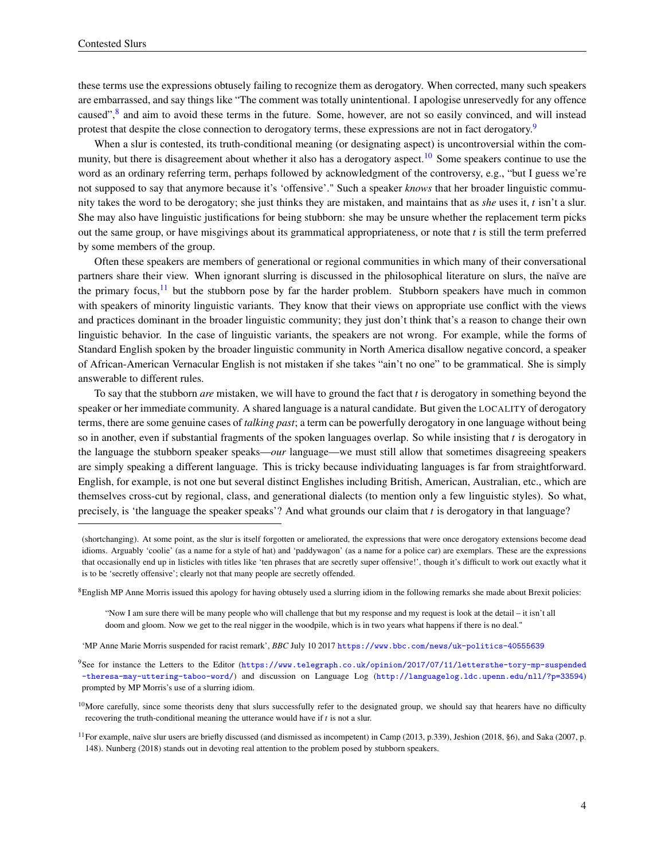these terms use the expressions obtusely failing to recognize them as derogatory. When corrected, many such speakers are embarrassed, and say things like "The comment was totally unintentional. I apologise unreservedly for any offence caused",<sup>8</sup> and aim to avoid these terms in the future. Some, however, are not so easily convinced, and will instead protest that despite the close connection to derogatory terms, these expressions are not in fact derogatory.<sup>9</sup>

When a slur is contested, its truth-conditional meaning (or designating aspect) is uncontroversial within the community, but there is disagreement about whether it also has a derogatory aspect.<sup>10</sup> Some speakers continue to use the word as an ordinary referring term, perhaps followed by acknowledgment of the controversy, e.g., "but I guess we're not supposed to say that anymore because it's 'offensive'." Such a speaker *knows* that her broader linguistic community takes the word to be derogatory; she just thinks they are mistaken, and maintains that as *she* uses it, *t* isn't a slur. She may also have linguistic justifications for being stubborn: she may be unsure whether the replacement term picks out the same group, or have misgivings about its grammatical appropriateness, or note that *t* is still the term preferred by some members of the group.

Often these speakers are members of generational or regional communities in which many of their conversational partners share their view. When ignorant slurring is discussed in the philosophical literature on slurs, the naïve are the primary focus,<sup>11</sup> but the stubborn pose by far the harder problem. Stubborn speakers have much in common with speakers of minority linguistic variants. They know that their views on appropriate use conflict with the views and practices dominant in the broader linguistic community; they just don't think that's a reason to change their own linguistic behavior. In the case of linguistic variants, the speakers are not wrong. For example, while the forms of Standard English spoken by the broader linguistic community in North America disallow negative concord, a speaker of African-American Vernacular English is not mistaken if she takes "ain't no one" to be grammatical. She is simply answerable to different rules.

To say that the stubborn *are* mistaken, we will have to ground the fact that *t* is derogatory in something beyond the speaker or her immediate community. A shared language is a natural candidate. But given the LOCALITY of derogatory terms, there are some genuine cases of *talking past*; a term can be powerfully derogatory in one language without being so in another, even if substantial fragments of the spoken languages overlap. So while insisting that *t* is derogatory in the language the stubborn speaker speaks—*our* language—we must still allow that sometimes disagreeing speakers are simply speaking a different language. This is tricky because individuating languages is far from straightforward. English, for example, is not one but several distinct Englishes including British, American, Australian, etc., which are themselves cross-cut by regional, class, and generational dialects (to mention only a few linguistic styles). So what, precisely, is 'the language the speaker speaks'? And what grounds our claim that *t* is derogatory in that language?

<sup>8</sup>English MP Anne Morris issued this apology for having obtusely used a slurring idiom in the following remarks she made about Brexit policies:

"Now I am sure there will be many people who will challenge that but my response and my request is look at the detail – it isn't all doom and gloom. Now we get to the real nigger in the woodpile, which is in two years what happens if there is no deal."

'MP Anne Marie Morris suspended for racist remark', *BBC* July 10 2017 <https://www.bbc.com/news/uk-politics-40555639>

<sup>9</sup>See for instance the Letters to the Editor ([https://www.telegraph.co.uk/opinion/2017/07/11/lettersthe-tory-mp-suspended](https://www.telegraph.co.uk/opinion/2017/07/11/lettersthe-tory-mp-suspended-theresa-may-uttering-taboo-word/) [-theresa-may-uttering-taboo-word/](https://www.telegraph.co.uk/opinion/2017/07/11/lettersthe-tory-mp-suspended-theresa-may-uttering-taboo-word/)) and discussion on Language Log (<http://languagelog.ldc.upenn.edu/nll/?p=33594>) prompted by MP Morris's use of a slurring idiom.

<sup>10</sup>More carefully, since some theorists deny that slurs successfully refer to the designated group, we should say that hearers have no difficulty recovering the truth-conditional meaning the utterance would have if *t* is not a slur.

<sup>(</sup>shortchanging). At some point, as the slur is itself forgotten or ameliorated, the expressions that were once derogatory extensions become dead idioms. Arguably 'coolie' (as a name for a style of hat) and 'paddywagon' (as a name for a police car) are exemplars. These are the expressions that occasionally end up in listicles with titles like 'ten phrases that are secretly super offensive!', though it's difficult to work out exactly what it is to be 'secretly offensive'; clearly not that many people are secretly offended.

<sup>&</sup>lt;sup>11</sup> For example, naïve slur users are briefly discussed (and dismissed as incompetent) in [Camp](#page-10-4) ([2013,](#page-10-4) p.339), [Jeshion](#page-11-13) [\(2018](#page-11-13), §6), and [Saka](#page-11-8) [\(2007](#page-11-8), p. 148). [Nunberg](#page-11-0) ([2018\)](#page-11-0) stands out in devoting real attention to the problem posed by stubborn speakers.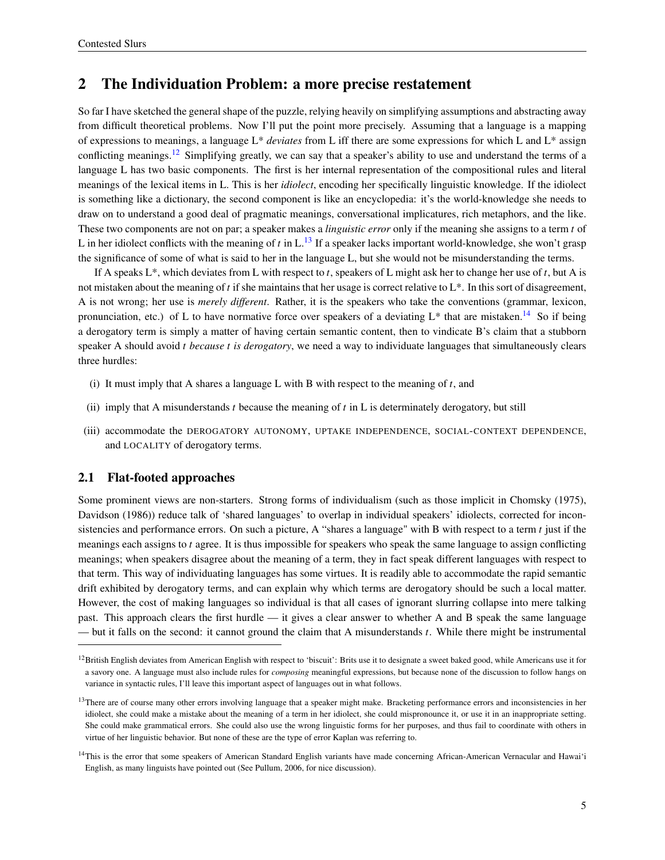# 2 The Individuation Problem: a more precise restatement

So far I have sketched the general shape of the puzzle, relying heavily on simplifying assumptions and abstracting away from difficult theoretical problems. Now I'll put the point more precisely. Assuming that a language is a mapping of expressions to meanings, a language L\* *deviates* from L iff there are some expressions for which L and L\* assign conflicting meanings.<sup>12</sup> Simplifying greatly, we can say that a speaker's ability to use and understand the terms of a language L has two basic components. The first is her internal representation of the compositional rules and literal meanings of the lexical items in L. This is her *idiolect*, encoding her specifically linguistic knowledge. If the idiolect is something like a dictionary, the second component is like an encyclopedia: it's the world-knowledge she needs to draw on to understand a good deal of pragmatic meanings, conversational implicatures, rich metaphors, and the like. These two components are not on par; a speaker makes a *linguistic error* only if the meaning she assigns to a term *t* of L in her idiolect conflicts with the meaning of *t* in L.13 If a speaker lacks important world-knowledge, she won't grasp the significance of some of what is said to her in the language L, but she would not be misunderstanding the terms.

If A speaks L\*, which deviates from L with respect to *t*, speakers of L might ask her to change her use of *t*, but A is not mistaken about the meaning of *t* if she maintains that her usage is correct relative to L\*. In this sort of disagreement, A is not wrong; her use is *merely different*. Rather, it is the speakers who take the conventions (grammar, lexicon, pronunciation, etc.) of L to have normative force over speakers of a deviating  $L^*$  that are mistaken.<sup>14</sup> So if being a derogatory term is simply a matter of having certain semantic content, then to vindicate B's claim that a stubborn speaker A should avoid *t because t is derogatory*, we need a way to individuate languages that simultaneously clears three hurdles:

- (i) It must imply that A shares a language L with B with respect to the meaning of *t*, and
- (ii) imply that A misunderstands *t* because the meaning of *t* in L is determinately derogatory, but still
- (iii) accommodate the DEROGATORY AUTONOMY, UPTAKE INDEPENDENCE, SOCIAL-CONTEXT DEPENDENCE, and LOCALITY of derogatory terms.

#### 2.1 Flat-footed approaches

Some prominent views are non-starters. Strong forms of individualism (such as those implicit in [Chomsky](#page-10-5) [\(1975](#page-10-5)), [Davidson](#page-10-6) [\(1986](#page-10-6))) reduce talk of 'shared languages' to overlap in individual speakers' idiolects, corrected for inconsistencies and performance errors. On such a picture, A "shares a language" with B with respect to a term *t* just if the meanings each assigns to *t* agree. It is thus impossible for speakers who speak the same language to assign conflicting meanings; when speakers disagree about the meaning of a term, they in fact speak different languages with respect to that term. This way of individuating languages has some virtues. It is readily able to accommodate the rapid semantic drift exhibited by derogatory terms, and can explain why which terms are derogatory should be such a local matter. However, the cost of making languages so individual is that all cases of ignorant slurring collapse into mere talking past. This approach clears the first hurdle — it gives a clear answer to whether A and B speak the same language — but it falls on the second: it cannot ground the claim that A misunderstands *t*. While there might be instrumental

 $12$ British English deviates from American English with respect to 'biscuit': Brits use it to designate a sweet baked good, while Americans use it for a savory one. A language must also include rules for *composing* meaningful expressions, but because none of the discussion to follow hangs on variance in syntactic rules, I'll leave this important aspect of languages out in what follows.

<sup>&</sup>lt;sup>13</sup>There are of course many other errors involving language that a speaker might make. Bracketing performance errors and inconsistencies in her idiolect, she could make a mistake about the meaning of a term in her idiolect, she could mispronounce it, or use it in an inappropriate setting. She could make grammatical errors. She could also use the wrong linguistic forms for her purposes, and thus fail to coordinate with others in virtue of her linguistic behavior. But none of these are the type of error Kaplan was referring to.

<sup>&</sup>lt;sup>14</sup>This is the error that some speakers of American Standard English variants have made concerning African-American Vernacular and Hawai'i English, as many linguists have pointed out (See [Pullum](#page-11-14), [2006,](#page-11-14) for nice discussion).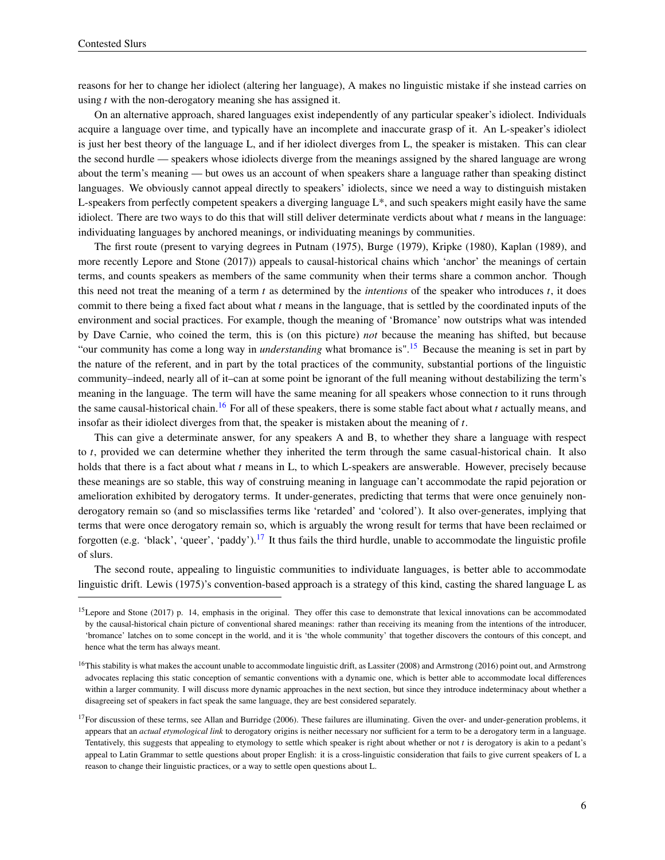reasons for her to change her idiolect (altering her language), A makes no linguistic mistake if she instead carries on using *t* with the non-derogatory meaning she has assigned it.

On an alternative approach, shared languages exist independently of any particular speaker's idiolect. Individuals acquire a language over time, and typically have an incomplete and inaccurate grasp of it. An L-speaker's idiolect is just her best theory of the language L, and if her idiolect diverges from L, the speaker is mistaken. This can clear the second hurdle — speakers whose idiolects diverge from the meanings assigned by the shared language are wrong about the term's meaning — but owes us an account of when speakers share a language rather than speaking distinct languages. We obviously cannot appeal directly to speakers' idiolects, since we need a way to distinguish mistaken L-speakers from perfectly competent speakers a diverging language  $L^*$ , and such speakers might easily have the same idiolect. There are two ways to do this that will still deliver determinate verdicts about what *t* means in the language: individuating languages by anchored meanings, or individuating meanings by communities.

The first route (present to varying degrees in [Putnam](#page-11-15) [\(1975\)](#page-11-15), [Burge](#page-10-7) ([1979\)](#page-10-7), [Kripke](#page-11-16) [\(1980](#page-11-16)), [Kaplan](#page-11-17) [\(1989](#page-11-17)), and more recently [Lepore and Stone](#page-11-18) [\(2017](#page-11-18))) appeals to causal-historical chains which 'anchor' the meanings of certain terms, and counts speakers as members of the same community when their terms share a common anchor. Though this need not treat the meaning of a term  $t$  as determined by the *intentions* of the speaker who introduces  $t$ , it does commit to there being a fixed fact about what *t* means in the language, that is settled by the coordinated inputs of the environment and social practices. For example, though the meaning of 'Bromance' now outstrips what was intended by Dave Carnie, who coined the term, this is (on this picture) *not* because the meaning has shifted, but because "our community has come a long way in *understanding* what bromance is".15 Because the meaning is set in part by the nature of the referent, and in part by the total practices of the community, substantial portions of the linguistic community–indeed, nearly all of it–can at some point be ignorant of the full meaning without destabilizing the term's meaning in the language. The term will have the same meaning for all speakers whose connection to it runs through the same causal-historical chain.16 For all of these speakers, there is some stable fact about what *t* actually means, and insofar as their idiolect diverges from that, the speaker is mistaken about the meaning of *t*.

This can give a determinate answer, for any speakers A and B, to whether they share a language with respect to *t*, provided we can determine whether they inherited the term through the same casual-historical chain. It also holds that there is a fact about what *t* means in L, to which L-speakers are answerable. However, precisely because these meanings are so stable, this way of construing meaning in language can't accommodate the rapid pejoration or amelioration exhibited by derogatory terms. It under-generates, predicting that terms that were once genuinely nonderogatory remain so (and so misclassifies terms like 'retarded' and 'colored'). It also over-generates, implying that terms that were once derogatory remain so, which is arguably the wrong result for terms that have been reclaimed or forgotten (e.g. 'black', 'queer', 'paddy').<sup>17</sup> It thus fails the third hurdle, unable to accommodate the linguistic profile of slurs.

The second route, appealing to linguistic communities to individuate languages, is better able to accommodate linguistic drift. [Lewis](#page-11-19) ([1975\)](#page-11-19)'s convention-based approach is a strategy of this kind, casting the shared language L as

 $15$ [Lepore and Stone](#page-11-18) ([2017](#page-11-18)) p. 14, emphasis in the original. They offer this case to demonstrate that lexical innovations can be accommodated by the causal-historical chain picture of conventional shared meanings: rather than receiving its meaning from the intentions of the introducer, 'bromance' latches on to some concept in the world, and it is 'the whole community' that together discovers the contours of this concept, and hence what the term has always meant.

<sup>&</sup>lt;sup>16</sup>This stability is what makes the account unable to accommodate linguistic drift, as [Lassiter](#page-11-20) [\(2008](#page-11-20)) and [Armstrong](#page-10-8) [\(2016](#page-10-8)) point out, and Armstrong advocates replacing this static conception of semantic conventions with a dynamic one, which is better able to accommodate local differences within a larger community. I will discuss more dynamic approaches in the next section, but since they introduce indeterminacy about whether a disagreeing set of speakers in fact speak the same language, they are best considered separately.

 $17$  For discussion of these terms, see [Allan and Burridge](#page-10-9) [\(2006](#page-10-9)). These failures are illuminating. Given the over- and under-generation problems, it appears that an *actual etymological link* to derogatory origins is neither necessary nor sufficient for a term to be a derogatory term in a language. Tentatively, this suggests that appealing to etymology to settle which speaker is right about whether or not *t* is derogatory is akin to a pedant's appeal to Latin Grammar to settle questions about proper English: it is a cross-linguistic consideration that fails to give current speakers of L a reason to change their linguistic practices, or a way to settle open questions about L.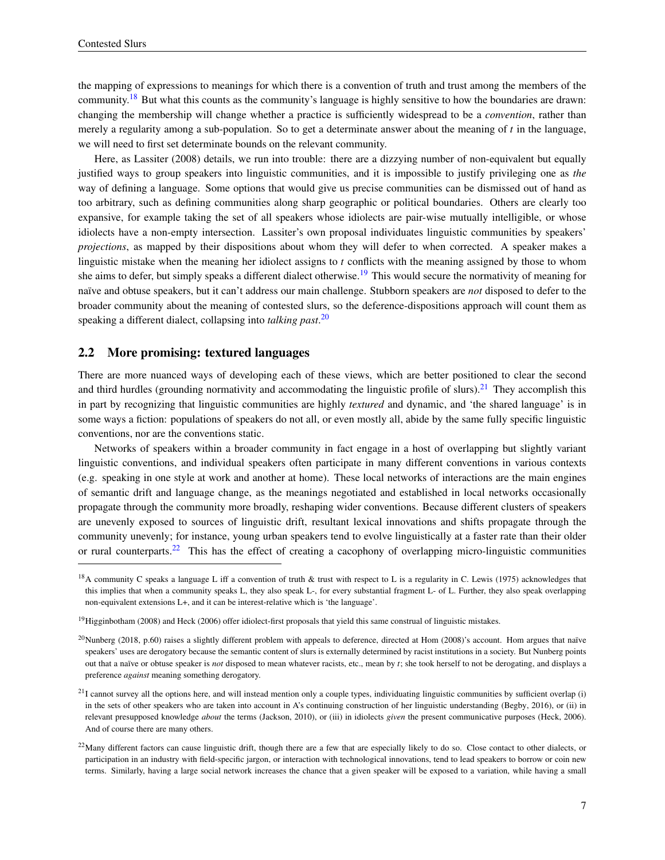the mapping of expressions to meanings for which there is a convention of truth and trust among the members of the community.<sup>18</sup> But what this counts as the community's language is highly sensitive to how the boundaries are drawn: changing the membership will change whether a practice is sufficiently widespread to be a *convention*, rather than merely a regularity among a sub-population. So to get a determinate answer about the meaning of *t* in the language, we will need to first set determinate bounds on the relevant community.

Here, as [Lassiter](#page-11-20) [\(2008](#page-11-20)) details, we run into trouble: there are a dizzying number of non-equivalent but equally justified ways to group speakers into linguistic communities, and it is impossible to justify privileging one as *the* way of defining a language. Some options that would give us precise communities can be dismissed out of hand as too arbitrary, such as defining communities along sharp geographic or political boundaries. Others are clearly too expansive, for example taking the set of all speakers whose idiolects are pair-wise mutually intelligible, or whose idiolects have a non-empty intersection. Lassiter's own proposal individuates linguistic communities by speakers' *projections*, as mapped by their dispositions about whom they will defer to when corrected. A speaker makes a linguistic mistake when the meaning her idiolect assigns to *t* conflicts with the meaning assigned by those to whom she aims to defer, but simply speaks a different dialect otherwise.<sup>19</sup> This would secure the normativity of meaning for naïve and obtuse speakers, but it can't address our main challenge. Stubborn speakers are *not* disposed to defer to the broader community about the meaning of contested slurs, so the deference-dispositions approach will count them as speaking a different dialect, collapsing into *talking past*. 20

#### 2.2 More promising: textured languages

There are more nuanced ways of developing each of these views, which are better positioned to clear the second and third hurdles (grounding normativity and accommodating the linguistic profile of slurs).<sup>21</sup> They accomplish this in part by recognizing that linguistic communities are highly *textured* and dynamic, and 'the shared language' is in some ways a fiction: populations of speakers do not all, or even mostly all, abide by the same fully specific linguistic conventions, nor are the conventions static.

Networks of speakers within a broader community in fact engage in a host of overlapping but slightly variant linguistic conventions, and individual speakers often participate in many different conventions in various contexts (e.g. speaking in one style at work and another at home). These local networks of interactions are the main engines of semantic drift and language change, as the meanings negotiated and established in local networks occasionally propagate through the community more broadly, reshaping wider conventions. Because different clusters of speakers are unevenly exposed to sources of linguistic drift, resultant lexical innovations and shifts propagate through the community unevenly; for instance, young urban speakers tend to evolve linguistically at a faster rate than their older or rural counterparts.22 This has the effect of creating a cacophony of overlapping micro-linguistic communities

<sup>&</sup>lt;sup>18</sup>A community C speaks a language L iff a convention of truth & trust with respect to L is a regularity in C. [Lewis](#page-11-19) [\(1975](#page-11-19)) acknowledges that this implies that when a community speaks L, they also speak L-, for every substantial fragment L- of L. Further, they also speak overlapping non-equivalent extensions L+, and it can be interest-relative which is 'the language'.

 $19$  [Higginbotham](#page-11-21) [\(2008](#page-11-21)) and [Heck](#page-10-10) ([2006\)](#page-10-10) offer idiolect-first proposals that yield this same construal of linguistic mistakes.

 $20$ [Nunberg](#page-11-0) [\(2018](#page-11-0), p.60) raises a slightly different problem with appeals to deference, directed at [Hom](#page-11-4) [\(2008](#page-11-4))'s account. Hom argues that naïve speakers' uses are derogatory because the semantic content of slurs is externally determined by racist institutions in a society. But Nunberg points out that a naïve or obtuse speaker is *not* disposed to mean whatever racists, etc., mean by *t*; she took herself to not be derogating, and displays a preference *against* meaning something derogatory.

 $2^{1}$ I cannot survey all the options here, and will instead mention only a couple types, individuating linguistic communities by sufficient overlap (i) in the sets of other speakers who are taken into account in A's continuing construction of her linguistic understanding [\(Begby](#page-10-11), [2016](#page-10-11)), or (ii) in relevant presupposed knowledge *about* the terms ([Jackson,](#page-11-22) [2010](#page-11-22)), or (iii) in idiolects *given* the present communicative purposes [\(Heck,](#page-10-10) [2006](#page-10-10)). And of course there are many others.

 $22$ Many different factors can cause linguistic drift, though there are a few that are especially likely to do so. Close contact to other dialects, or participation in an industry with field-specific jargon, or interaction with technological innovations, tend to lead speakers to borrow or coin new terms. Similarly, having a large social network increases the chance that a given speaker will be exposed to a variation, while having a small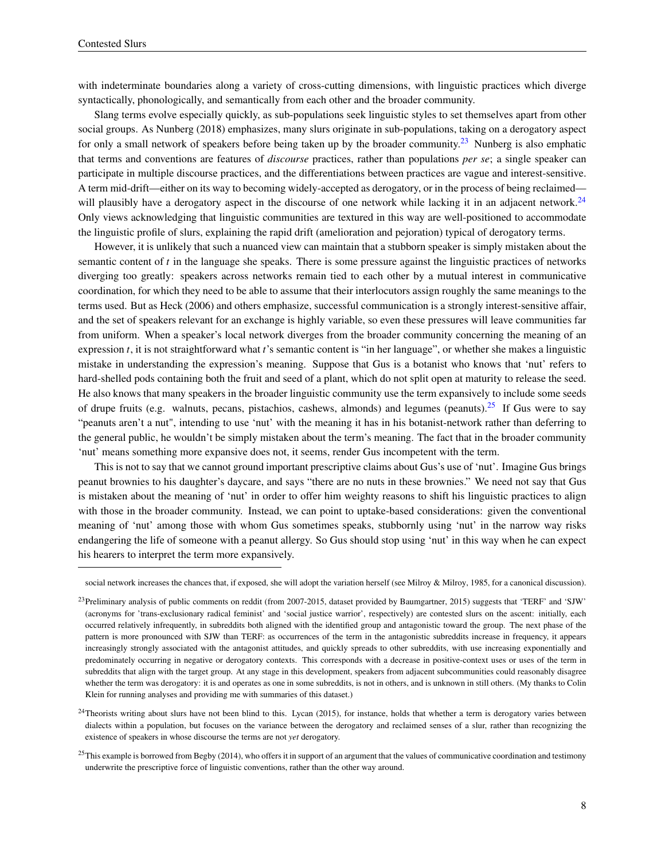with indeterminate boundaries along a variety of cross-cutting dimensions, with linguistic practices which diverge syntactically, phonologically, and semantically from each other and the broader community.

Slang terms evolve especially quickly, as sub-populations seek linguistic styles to set themselves apart from other social groups. As [Nunberg](#page-11-0) [\(2018](#page-11-0)) emphasizes, many slurs originate in sub-populations, taking on a derogatory aspect for only a small network of speakers before being taken up by the broader community.<sup>23</sup> Nunberg is also emphatic that terms and conventions are features of *discourse* practices, rather than populations *per se*; a single speaker can participate in multiple discourse practices, and the differentiations between practices are vague and interest-sensitive. A term mid-drift—either on its way to becoming widely-accepted as derogatory, or in the process of being reclaimed will plausibly have a derogatory aspect in the discourse of one network while lacking it in an adjacent network.<sup>24</sup> Only views acknowledging that linguistic communities are textured in this way are well-positioned to accommodate the linguistic profile of slurs, explaining the rapid drift (amelioration and pejoration) typical of derogatory terms.

However, it is unlikely that such a nuanced view can maintain that a stubborn speaker is simply mistaken about the semantic content of *t* in the language she speaks. There is some pressure against the linguistic practices of networks diverging too greatly: speakers across networks remain tied to each other by a mutual interest in communicative coordination, for which they need to be able to assume that their interlocutors assign roughly the same meanings to the terms used. But as [Heck](#page-10-10) ([2006\)](#page-10-10) and others emphasize, successful communication is a strongly interest-sensitive affair, and the set of speakers relevant for an exchange is highly variable, so even these pressures will leave communities far from uniform. When a speaker's local network diverges from the broader community concerning the meaning of an expression *t*, it is not straightforward what *t*'s semantic content is "in her language", or whether she makes a linguistic mistake in understanding the expression's meaning. Suppose that Gus is a botanist who knows that 'nut' refers to hard-shelled pods containing both the fruit and seed of a plant, which do not split open at maturity to release the seed. He also knows that many speakers in the broader linguistic community use the term expansively to include some seeds of drupe fruits (e.g. walnuts, pecans, pistachios, cashews, almonds) and legumes (peanuts).<sup>25</sup> If Gus were to say "peanuts aren't a nut", intending to use 'nut' with the meaning it has in his botanist-network rather than deferring to the general public, he wouldn't be simply mistaken about the term's meaning. The fact that in the broader community 'nut' means something more expansive does not, it seems, render Gus incompetent with the term.

This is not to say that we cannot ground important prescriptive claims about Gus's use of 'nut'. Imagine Gus brings peanut brownies to his daughter's daycare, and says "there are no nuts in these brownies." We need not say that Gus is mistaken about the meaning of 'nut' in order to offer him weighty reasons to shift his linguistic practices to align with those in the broader community. Instead, we can point to uptake-based considerations: given the conventional meaning of 'nut' among those with whom Gus sometimes speaks, stubbornly using 'nut' in the narrow way risks endangering the life of someone with a peanut allergy. So Gus should stop using 'nut' in this way when he can expect his hearers to interpret the term more expansively.

social network increases the chances that, if exposed, she will adopt the variation herself (see [Milroy & Milroy](#page-11-23), [1985](#page-11-23), for a canonical discussion).

 $24$ Theorists writing about slurs have not been blind to this. [Lycan](#page-11-10) ([2015\)](#page-11-10), for instance, holds that whether a term is derogatory varies between dialects within a population, but focuses on the variance between the derogatory and reclaimed senses of a slur, rather than recognizing the existence of speakers in whose discourse the terms are not *yet* derogatory.

 $^{23}$ Preliminary analysis of public comments on reddit (from 2007-2015, dataset provided by [Baumgartner,](#page-10-12) [2015](#page-10-12)) suggests that 'TERF' and 'SJW' (acronyms for 'trans-exclusionary radical feminist' and 'social justice warrior', respectively) are contested slurs on the ascent: initially, each occurred relatively infrequently, in subreddits both aligned with the identified group and antagonistic toward the group. The next phase of the pattern is more pronounced with SJW than TERF: as occurrences of the term in the antagonistic subreddits increase in frequency, it appears increasingly strongly associated with the antagonist attitudes, and quickly spreads to other subreddits, with use increasing exponentially and predominately occurring in negative or derogatory contexts. This corresponds with a decrease in positive-context uses or uses of the term in subreddits that align with the target group. At any stage in this development, speakers from adjacent subcommunities could reasonably disagree whether the term was derogatory: it is and operates as one in some subreddits, is not in others, and is unknown in still others. (My thanks to Colin Klein for running analyses and providing me with summaries of this dataset.)

 $^{25}$ This example is borrowed from [Begby](#page-10-13) [\(2014](#page-10-13)), who offers it in support of an argument that the values of communicative coordination and testimony underwrite the prescriptive force of linguistic conventions, rather than the other way around.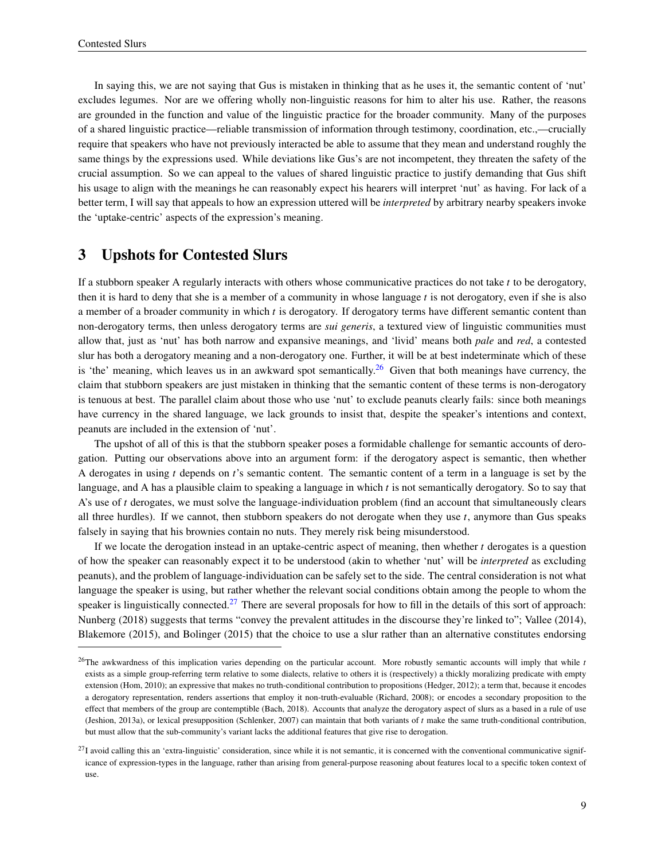In saying this, we are not saying that Gus is mistaken in thinking that as he uses it, the semantic content of 'nut' excludes legumes. Nor are we offering wholly non-linguistic reasons for him to alter his use. Rather, the reasons are grounded in the function and value of the linguistic practice for the broader community. Many of the purposes of a shared linguistic practice—reliable transmission of information through testimony, coordination, etc.,—crucially require that speakers who have not previously interacted be able to assume that they mean and understand roughly the same things by the expressions used. While deviations like Gus's are not incompetent, they threaten the safety of the crucial assumption. So we can appeal to the values of shared linguistic practice to justify demanding that Gus shift his usage to align with the meanings he can reasonably expect his hearers will interpret 'nut' as having. For lack of a better term, I will say that appeals to how an expression uttered will be *interpreted* by arbitrary nearby speakers invoke the 'uptake-centric' aspects of the expression's meaning.

# 3 Upshots for Contested Slurs

If a stubborn speaker A regularly interacts with others whose communicative practices do not take *t* to be derogatory, then it is hard to deny that she is a member of a community in whose language *t* is not derogatory, even if she is also a member of a broader community in which *t* is derogatory. If derogatory terms have different semantic content than non-derogatory terms, then unless derogatory terms are *sui generis*, a textured view of linguistic communities must allow that, just as 'nut' has both narrow and expansive meanings, and 'livid' means both *pale* and *red*, a contested slur has both a derogatory meaning and a non-derogatory one. Further, it will be at best indeterminate which of these is 'the' meaning, which leaves us in an awkward spot semantically.<sup>26</sup> Given that both meanings have currency, the claim that stubborn speakers are just mistaken in thinking that the semantic content of these terms is non-derogatory is tenuous at best. The parallel claim about those who use 'nut' to exclude peanuts clearly fails: since both meanings have currency in the shared language, we lack grounds to insist that, despite the speaker's intentions and context, peanuts are included in the extension of 'nut'.

The upshot of all of this is that the stubborn speaker poses a formidable challenge for semantic accounts of derogation. Putting our observations above into an argument form: if the derogatory aspect is semantic, then whether A derogates in using *t* depends on *t*'s semantic content. The semantic content of a term in a language is set by the language, and A has a plausible claim to speaking a language in which *t* is not semantically derogatory. So to say that A's use of *t* derogates, we must solve the language-individuation problem (find an account that simultaneously clears all three hurdles). If we cannot, then stubborn speakers do not derogate when they use *t*, anymore than Gus speaks falsely in saying that his brownies contain no nuts. They merely risk being misunderstood.

If we locate the derogation instead in an uptake-centric aspect of meaning, then whether *t* derogates is a question of how the speaker can reasonably expect it to be understood (akin to whether 'nut' will be *interpreted* as excluding peanuts), and the problem of language-individuation can be safely set to the side. The central consideration is not what language the speaker is using, but rather whether the relevant social conditions obtain among the people to whom the speaker is linguistically connected.<sup>27</sup> There are several proposals for how to fill in the details of this sort of approach: [Nunberg](#page-11-0) ([2018\)](#page-11-0) suggests that terms "convey the prevalent attitudes in the discourse they're linked to"; [Vallee](#page-11-12) [\(2014](#page-11-12)), [Blakemore](#page-10-14) [\(2015\)](#page-10-14), and [Bolinger](#page-10-15) ([2015\)](#page-10-15) that the choice to use a slur rather than an alternative constitutes endorsing

<sup>26</sup>The awkwardness of this implication varies depending on the particular account. More robustly semantic accounts will imply that while *t* exists as a simple group-referring term relative to some dialects, relative to others it is (respectively) a thickly moralizing predicate with empty extension [\(Hom](#page-11-24), [2010](#page-11-24)); an expressive that makes no truth-conditional contribution to propositions ([Hedger](#page-11-6), [2012\)](#page-11-6); a term that, because it encodes a derogatory representation, renders assertions that employ it non-truth-evaluable ([Richard](#page-11-7), [2008\)](#page-11-7); or encodes a secondary proposition to the effect that members of the group are contemptible ([Bach](#page-10-0), [2018](#page-10-0)). Accounts that analyze the derogatory aspect of slurs as a based in a rule of use [\(Jeshion](#page-11-9), [2013a\)](#page-11-9), or lexical presupposition [\(Schlenker](#page-11-25), [2007](#page-11-25)) can maintain that both variants of *t* make the same truth-conditional contribution, but must allow that the sub-community's variant lacks the additional features that give rise to derogation.

 $^{27}$ I avoid calling this an 'extra-linguistic' consideration, since while it is not semantic, it is concerned with the conventional communicative significance of expression-types in the language, rather than arising from general-purpose reasoning about features local to a specific token context of use.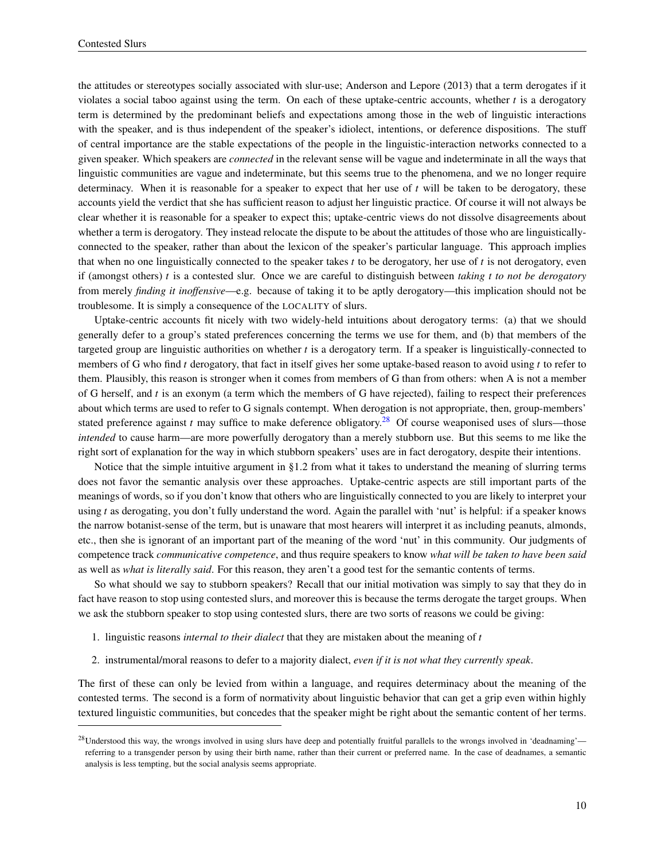the attitudes or stereotypes socially associated with slur-use; [Anderson and Lepore](#page-10-16) ([2013\)](#page-10-16) that a term derogates if it violates a social taboo against using the term. On each of these uptake-centric accounts, whether *t* is a derogatory term is determined by the predominant beliefs and expectations among those in the web of linguistic interactions with the speaker, and is thus independent of the speaker's idiolect, intentions, or deference dispositions. The stuff of central importance are the stable expectations of the people in the linguistic-interaction networks connected to a given speaker. Which speakers are *connected* in the relevant sense will be vague and indeterminate in all the ways that linguistic communities are vague and indeterminate, but this seems true to the phenomena, and we no longer require determinacy. When it is reasonable for a speaker to expect that her use of *t* will be taken to be derogatory, these accounts yield the verdict that she has sufficient reason to adjust her linguistic practice. Of course it will not always be clear whether it is reasonable for a speaker to expect this; uptake-centric views do not dissolve disagreements about whether a term is derogatory. They instead relocate the dispute to be about the attitudes of those who are linguisticallyconnected to the speaker, rather than about the lexicon of the speaker's particular language. This approach implies that when no one linguistically connected to the speaker takes *t* to be derogatory, her use of *t* is not derogatory, even if (amongst others) *t* is a contested slur. Once we are careful to distinguish between *taking t to not be derogatory* from merely *finding it inoffensive*—e.g. because of taking it to be aptly derogatory—this implication should not be troublesome. It is simply a consequence of the LOCALITY of slurs.

Uptake-centric accounts fit nicely with two widely-held intuitions about derogatory terms: (a) that we should generally defer to a group's stated preferences concerning the terms we use for them, and (b) that members of the targeted group are linguistic authorities on whether *t* is a derogatory term. If a speaker is linguistically-connected to members of G who find *t* derogatory, that fact in itself gives her some uptake-based reason to avoid using *t* to refer to them. Plausibly, this reason is stronger when it comes from members of G than from others: when A is not a member of G herself, and *t* is an exonym (a term which the members of G have rejected), failing to respect their preferences about which terms are used to refer to G signals contempt. When derogation is not appropriate, then, group-members' stated preference against  $t$  may suffice to make deference obligatory.<sup>28</sup> Of course weaponised uses of slurs—those *intended* to cause harm—are more powerfully derogatory than a merely stubborn use. But this seems to me like the right sort of explanation for the way in which stubborn speakers' uses are in fact derogatory, despite their intentions.

Notice that the simple intuitive argument in §1.2 from what it takes to understand the meaning of slurring terms does not favor the semantic analysis over these approaches. Uptake-centric aspects are still important parts of the meanings of words, so if you don't know that others who are linguistically connected to you are likely to interpret your using *t* as derogating, you don't fully understand the word. Again the parallel with 'nut' is helpful: if a speaker knows the narrow botanist-sense of the term, but is unaware that most hearers will interpret it as including peanuts, almonds, etc., then she is ignorant of an important part of the meaning of the word 'nut' in this community. Our judgments of competence track *communicative competence*, and thus require speakers to know *what will be taken to have been said* as well as *what is literally said*. For this reason, they aren't a good test for the semantic contents of terms.

So what should we say to stubborn speakers? Recall that our initial motivation was simply to say that they do in fact have reason to stop using contested slurs, and moreover this is because the terms derogate the target groups. When we ask the stubborn speaker to stop using contested slurs, there are two sorts of reasons we could be giving:

- 1. linguistic reasons *internal to their dialect* that they are mistaken about the meaning of *t*
- 2. instrumental/moral reasons to defer to a majority dialect, *even if it is not what they currently speak*.

The first of these can only be levied from within a language, and requires determinacy about the meaning of the contested terms. The second is a form of normativity about linguistic behavior that can get a grip even within highly textured linguistic communities, but concedes that the speaker might be right about the semantic content of her terms.

 $^{28}$ Understood this way, the wrongs involved in using slurs have deep and potentially fruitful parallels to the wrongs involved in 'deadnaming' referring to a transgender person by using their birth name, rather than their current or preferred name. In the case of deadnames, a semantic analysis is less tempting, but the social analysis seems appropriate.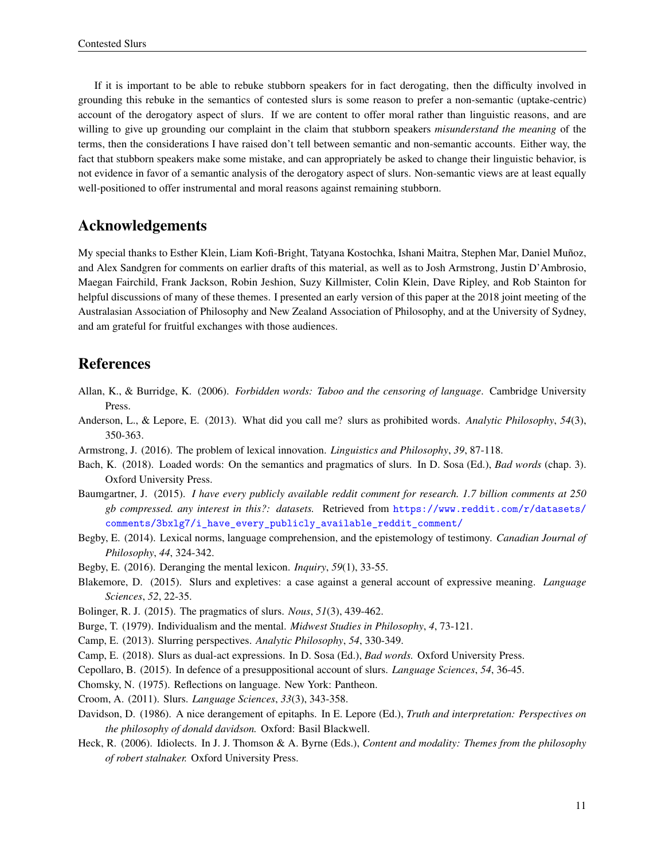If it is important to be able to rebuke stubborn speakers for in fact derogating, then the difficulty involved in grounding this rebuke in the semantics of contested slurs is some reason to prefer a non-semantic (uptake-centric) account of the derogatory aspect of slurs. If we are content to offer moral rather than linguistic reasons, and are willing to give up grounding our complaint in the claim that stubborn speakers *misunderstand the meaning* of the terms, then the considerations I have raised don't tell between semantic and non-semantic accounts. Either way, the fact that stubborn speakers make some mistake, and can appropriately be asked to change their linguistic behavior, is not evidence in favor of a semantic analysis of the derogatory aspect of slurs. Non-semantic views are at least equally well-positioned to offer instrumental and moral reasons against remaining stubborn.

## Acknowledgements

My special thanks to Esther Klein, Liam Kofi-Bright, Tatyana Kostochka, Ishani Maitra, Stephen Mar, Daniel Muñoz, and Alex Sandgren for comments on earlier drafts of this material, as well as to Josh Armstrong, Justin D'Ambrosio, Maegan Fairchild, Frank Jackson, Robin Jeshion, Suzy Killmister, Colin Klein, Dave Ripley, and Rob Stainton for helpful discussions of many of these themes. I presented an early version of this paper at the 2018 joint meeting of the Australasian Association of Philosophy and New Zealand Association of Philosophy, and at the University of Sydney, and am grateful for fruitful exchanges with those audiences.

# References

- <span id="page-10-9"></span>Allan, K., & Burridge, K. (2006). *Forbidden words: Taboo and the censoring of language*. Cambridge University Press.
- <span id="page-10-16"></span>Anderson, L., & Lepore, E. (2013). What did you call me? slurs as prohibited words. *Analytic Philosophy*, *54*(3), 350-363.
- <span id="page-10-8"></span>Armstrong, J. (2016). The problem of lexical innovation. *Linguistics and Philosophy*, *39*, 87-118.
- <span id="page-10-0"></span>Bach, K. (2018). Loaded words: On the semantics and pragmatics of slurs. In D. Sosa (Ed.), *Bad words* (chap. 3). Oxford University Press.
- <span id="page-10-12"></span>Baumgartner, J. (2015). *I have every publicly available reddit comment for research. 1.7 billion comments at 250 gb compressed. any interest in this?: datasets.* Retrieved from [https://www.reddit.com/r/datasets/](https://www.reddit.com/r/datasets/comments/3bxlg7/i_have_every_publicly_available_reddit_comment/) [comments/3bxlg7/i\\_have\\_every\\_publicly\\_available\\_reddit\\_comment/](https://www.reddit.com/r/datasets/comments/3bxlg7/i_have_every_publicly_available_reddit_comment/)
- <span id="page-10-13"></span>Begby, E. (2014). Lexical norms, language comprehension, and the epistemology of testimony. *Canadian Journal of Philosophy*, *44*, 324-342.
- <span id="page-10-11"></span>Begby, E. (2016). Deranging the mental lexicon. *Inquiry*, *59*(1), 33-55.
- <span id="page-10-14"></span>Blakemore, D. (2015). Slurs and expletives: a case against a general account of expressive meaning. *Language Sciences*, *52*, 22-35.
- <span id="page-10-15"></span>Bolinger, R. J. (2015). The pragmatics of slurs. *Nous*, *51*(3), 439-462.
- <span id="page-10-7"></span>Burge, T. (1979). Individualism and the mental. *Midwest Studies in Philosophy*, *4*, 73-121.
- <span id="page-10-4"></span>Camp, E. (2013). Slurring perspectives. *Analytic Philosophy*, *54*, 330-349.
- <span id="page-10-2"></span>Camp, E. (2018). Slurs as dual-act expressions. In D. Sosa (Ed.), *Bad words.* Oxford University Press.

<span id="page-10-5"></span><span id="page-10-3"></span>Cepollaro, B. (2015). In defence of a presuppositional account of slurs. *Language Sciences*, *54*, 36-45.

- Chomsky, N. (1975). Reflections on language. New York: Pantheon.
- <span id="page-10-1"></span>Croom, A. (2011). Slurs. *Language Sciences*, *33*(3), 343-358.
- <span id="page-10-6"></span>Davidson, D. (1986). A nice derangement of epitaphs. In E. Lepore (Ed.), *Truth and interpretation: Perspectives on the philosophy of donald davidson.* Oxford: Basil Blackwell.
- <span id="page-10-10"></span>Heck, R. (2006). Idiolects. In J. J. Thomson & A. Byrne (Eds.), *Content and modality: Themes from the philosophy of robert stalnaker.* Oxford University Press.